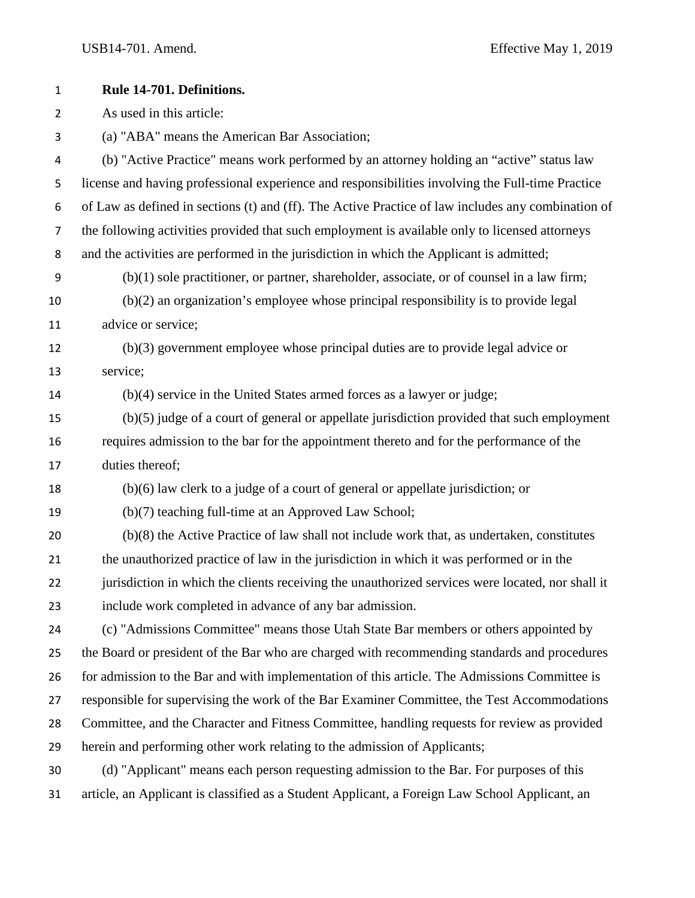| $\mathbf 1$      | Rule 14-701. Definitions.                                                                          |
|------------------|----------------------------------------------------------------------------------------------------|
| $\overline{2}$   | As used in this article:                                                                           |
| 3                | (a) "ABA" means the American Bar Association;                                                      |
| 4                | (b) "Active Practice" means work performed by an attorney holding an "active" status law           |
| $\mathsf S$      | license and having professional experience and responsibilities involving the Full-time Practice   |
| 6                | of Law as defined in sections (t) and (ff). The Active Practice of law includes any combination of |
| $\overline{7}$   | the following activities provided that such employment is available only to licensed attorneys     |
| 8                | and the activities are performed in the jurisdiction in which the Applicant is admitted;           |
| $\boldsymbol{9}$ | $(b)(1)$ sole practitioner, or partner, shareholder, associate, or of counsel in a law firm;       |
| 10               | (b)(2) an organization's employee whose principal responsibility is to provide legal               |
| 11               | advice or service;                                                                                 |
| 12               | $(b)(3)$ government employee whose principal duties are to provide legal advice or                 |
| 13               | service;                                                                                           |
| 14               | $(b)(4)$ service in the United States armed forces as a lawyer or judge;                           |
| 15               | $(b)(5)$ judge of a court of general or appellate jurisdiction provided that such employment       |
| 16               | requires admission to the bar for the appointment thereto and for the performance of the           |
| 17               | duties thereof;                                                                                    |
| 18               | (b)(6) law clerk to a judge of a court of general or appellate jurisdiction; or                    |
| 19               | (b)(7) teaching full-time at an Approved Law School;                                               |
| 20               | $(b)(8)$ the Active Practice of law shall not include work that, as undertaken, constitutes        |
| 21               | the unauthorized practice of law in the jurisdiction in which it was performed or in the           |
| 22               | jurisdiction in which the clients receiving the unauthorized services were located, nor shall it   |
| 23               | include work completed in advance of any bar admission.                                            |
| 24               | (c) "Admissions Committee" means those Utah State Bar members or others appointed by               |
| 25               | the Board or president of the Bar who are charged with recommending standards and procedures       |
| 26               | for admission to the Bar and with implementation of this article. The Admissions Committee is      |
| 27               | responsible for supervising the work of the Bar Examiner Committee, the Test Accommodations        |
| 28               | Committee, and the Character and Fitness Committee, handling requests for review as provided       |
| 29               | herein and performing other work relating to the admission of Applicants;                          |
| 30               | (d) "Applicant" means each person requesting admission to the Bar. For purposes of this            |
| 31               | article, an Applicant is classified as a Student Applicant, a Foreign Law School Applicant, an     |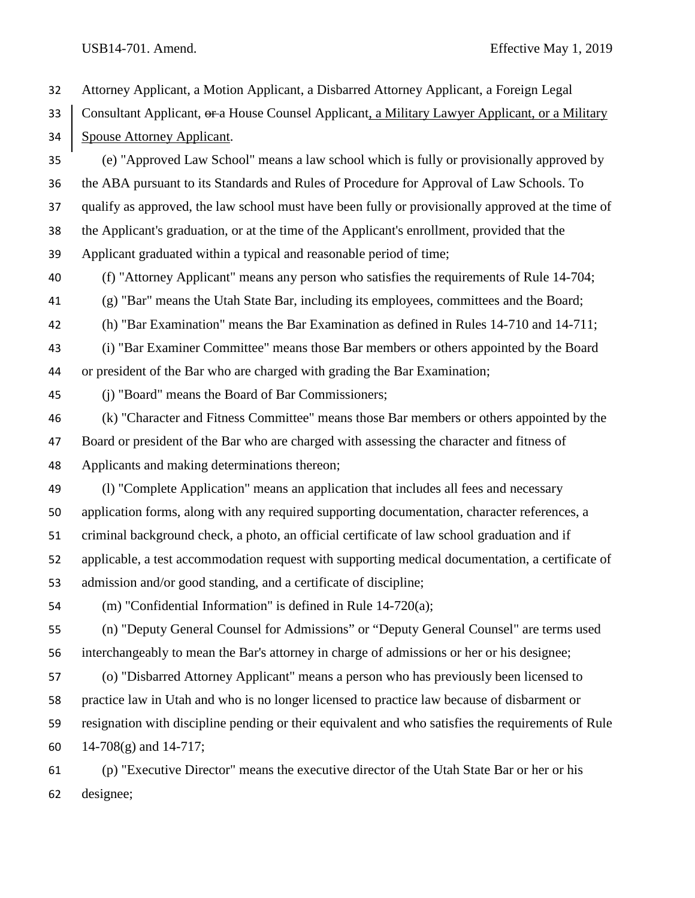Attorney Applicant, a Motion Applicant, a Disbarred Attorney Applicant, a Foreign Legal 33 Consultant Applicant,  $\theta$  a House Counsel Applicant, a Military Lawyer Applicant, or a Military Spouse Attorney Applicant. (e) "Approved Law School" means a law school which is fully or provisionally approved by the ABA pursuant to its Standards and Rules of Procedure for Approval of Law Schools. To qualify as approved, the law school must have been fully or provisionally approved at the time of the Applicant's graduation, or at the time of the Applicant's enrollment, provided that the Applicant graduated within a typical and reasonable period of time; (f) "Attorney Applicant" means any person who satisfies the requirements of Rule 14-704; (g) "Bar" means the Utah State Bar, including its employees, committees and the Board; (h) "Bar Examination" means the Bar Examination as defined in Rules 14-710 and 14-711; (i) "Bar Examiner Committee" means those Bar members or others appointed by the Board or president of the Bar who are charged with grading the Bar Examination; (j) "Board" means the Board of Bar Commissioners; (k) "Character and Fitness Committee" means those Bar members or others appointed by the Board or president of the Bar who are charged with assessing the character and fitness of Applicants and making determinations thereon; (l) "Complete Application" means an application that includes all fees and necessary application forms, along with any required supporting documentation, character references, a criminal background check, a photo, an official certificate of law school graduation and if applicable, a test accommodation request with supporting medical documentation, a certificate of admission and/or good standing, and a certificate of discipline; (m) "Confidential Information" is defined in Rule 14-720(a); (n) "Deputy General Counsel for Admissions" or "Deputy General Counsel" are terms used interchangeably to mean the Bar's attorney in charge of admissions or her or his designee; (o) "Disbarred Attorney Applicant" means a person who has previously been licensed to practice law in Utah and who is no longer licensed to practice law because of disbarment or resignation with discipline pending or their equivalent and who satisfies the requirements of Rule 14-708(g) and 14-717; (p) "Executive Director" means the executive director of the Utah State Bar or her or his designee;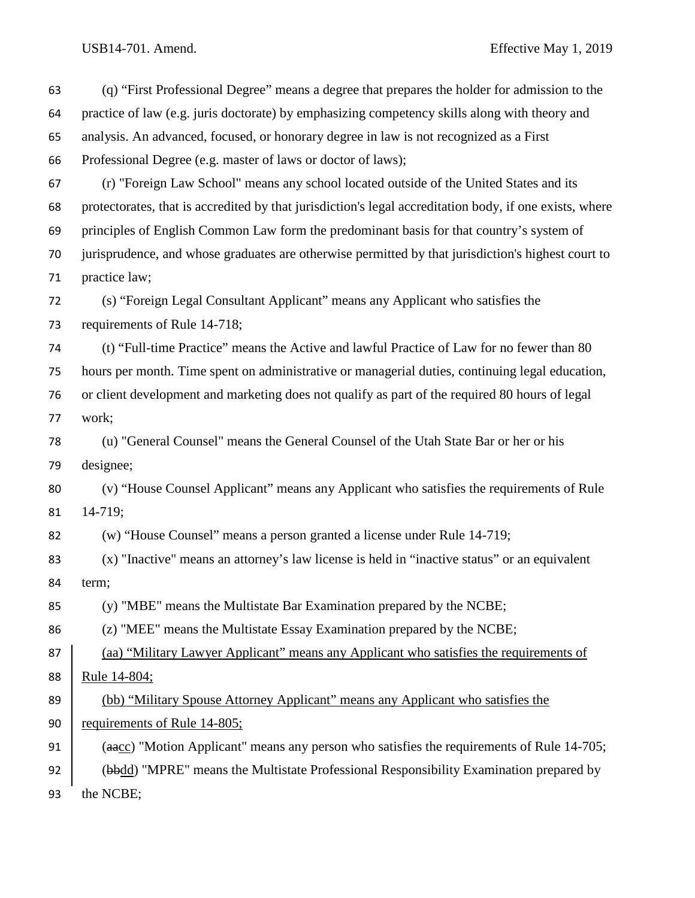| 63 | (q) "First Professional Degree" means a degree that prepares the holder for admission to the            |
|----|---------------------------------------------------------------------------------------------------------|
| 64 | practice of law (e.g. juris doctorate) by emphasizing competency skills along with theory and           |
| 65 | analysis. An advanced, focused, or honorary degree in law is not recognized as a First                  |
| 66 | Professional Degree (e.g. master of laws or doctor of laws);                                            |
| 67 | (r) "Foreign Law School" means any school located outside of the United States and its                  |
| 68 | protectorates, that is accredited by that jurisdiction's legal accreditation body, if one exists, where |
| 69 | principles of English Common Law form the predominant basis for that country's system of                |
| 70 | jurisprudence, and whose graduates are otherwise permitted by that jurisdiction's highest court to      |
| 71 | practice law;                                                                                           |
| 72 | (s) "Foreign Legal Consultant Applicant" means any Applicant who satisfies the                          |
| 73 | requirements of Rule 14-718;                                                                            |
| 74 | (t) "Full-time Practice" means the Active and lawful Practice of Law for no fewer than 80               |
| 75 | hours per month. Time spent on administrative or managerial duties, continuing legal education,         |
| 76 | or client development and marketing does not qualify as part of the required 80 hours of legal          |
| 77 | work;                                                                                                   |
| 78 | (u) "General Counsel" means the General Counsel of the Utah State Bar or her or his                     |
| 79 | designee;                                                                                               |
| 80 | (v) "House Counsel Applicant" means any Applicant who satisfies the requirements of Rule                |
| 81 | $14-719;$                                                                                               |
| 82 | (w) "House Counsel" means a person granted a license under Rule 14-719;                                 |
| 83 | (x) "Inactive" means an attorney's law license is held in "inactive status" or an equivalent            |
| 84 | term;                                                                                                   |
| 85 | (y) "MBE" means the Multistate Bar Examination prepared by the NCBE;                                    |
| 86 | (z) "MEE" means the Multistate Essay Examination prepared by the NCBE;                                  |
| 87 | (aa) "Military Lawyer Applicant" means any Applicant who satisfies the requirements of                  |
| 88 | <u>Rule 14-804;</u>                                                                                     |
| 89 | (bb) "Military Spouse Attorney Applicant" means any Applicant who satisfies the                         |
| 90 | requirements of Rule 14-805;                                                                            |
| 91 | (aacc) "Motion Applicant" means any person who satisfies the requirements of Rule 14-705;               |
| 92 | (bbdd) "MPRE" means the Multistate Professional Responsibility Examination prepared by                  |
| 93 | the NCBE;                                                                                               |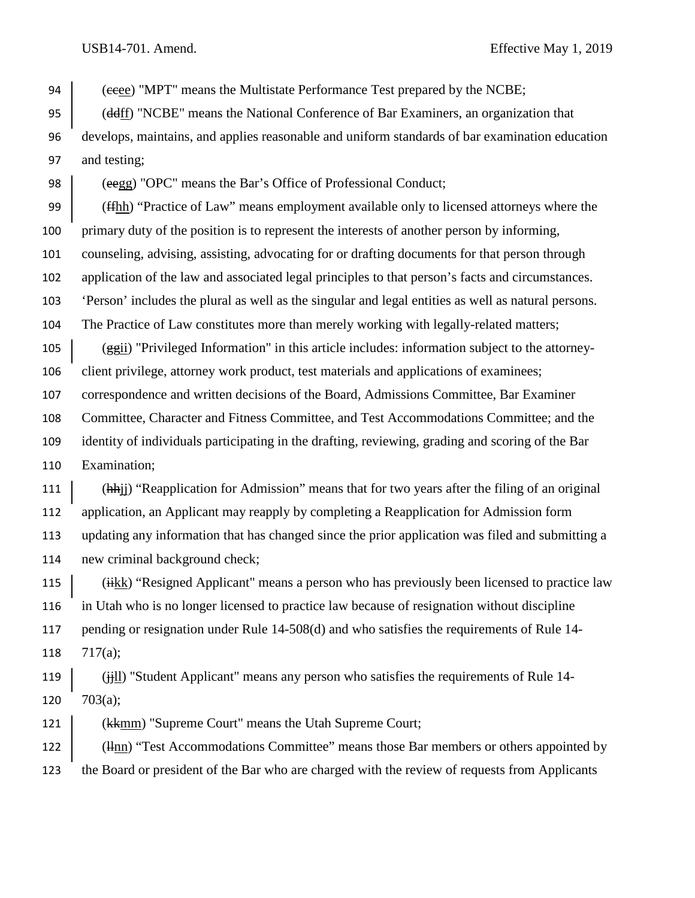94 (eeee) "MPT" means the Multistate Performance Test prepared by the NCBE;

 (ddff) "NCBE" means the National Conference of Bar Examiners, an organization that develops, maintains, and applies reasonable and uniform standards of bar examination education and testing;

98 (eegg) "OPC" means the Bar's Office of Professional Conduct;

(ffhh) "Practice of Law" means employment available only to licensed attorneys where the

primary duty of the position is to represent the interests of another person by informing,

counseling, advising, assisting, advocating for or drafting documents for that person through

application of the law and associated legal principles to that person's facts and circumstances.

'Person' includes the plural as well as the singular and legal entities as well as natural persons.

The Practice of Law constitutes more than merely working with legally-related matters;

105  $\frac{1}{\text{ggi}}$  "Privileged Information" in this article includes: information subject to the attorney-client privilege, attorney work product, test materials and applications of examinees;

correspondence and written decisions of the Board, Admissions Committee, Bar Examiner

Committee, Character and Fitness Committee, and Test Accommodations Committee; and the

identity of individuals participating in the drafting, reviewing, grading and scoring of the Bar

Examination;

111 (hhij) "Reapplication for Admission" means that for two years after the filing of an original application, an Applicant may reapply by completing a Reapplication for Admission form updating any information that has changed since the prior application was filed and submitting a new criminal background check;

115 (iikk) "Resigned Applicant" means a person who has previously been licensed to practice law in Utah who is no longer licensed to practice law because of resignation without discipline pending or resignation under Rule 14-508(d) and who satisfies the requirements of Rule 14- 717(a);

119 (iii) "Student Applicant" means any person who satisfies the requirements of Rule 14-120  $703(a)$ ;

121 (kkmm) "Supreme Court" means the Utah Supreme Court;

122 (Hnn) "Test Accommodations Committee" means those Bar members or others appointed by the Board or president of the Bar who are charged with the review of requests from Applicants